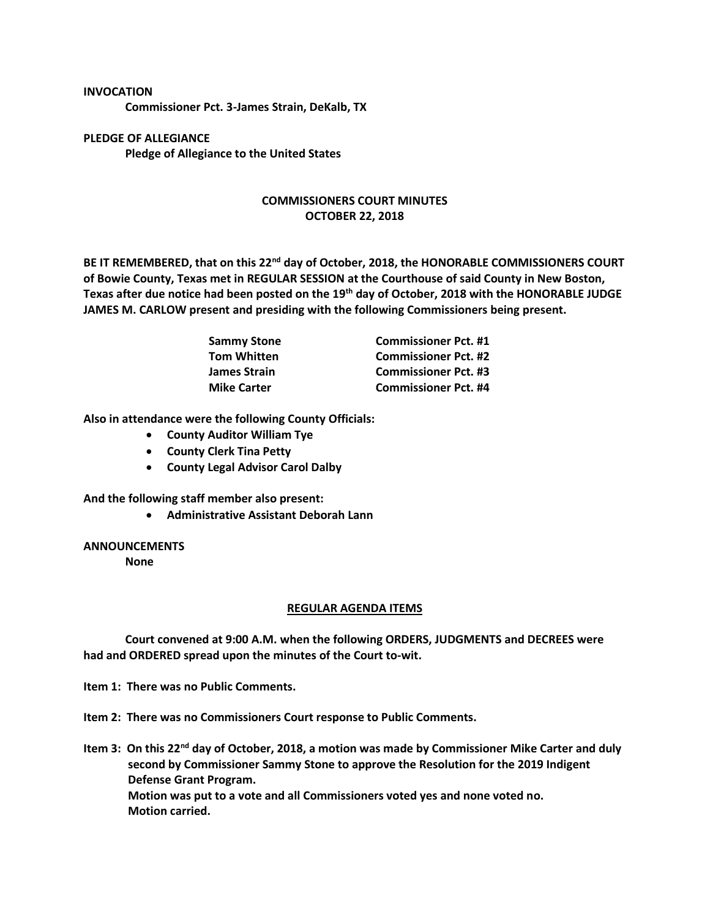## **INVOCATION**

**Commissioner Pct. 3-James Strain, DeKalb, TX**

**PLEDGE OF ALLEGIANCE Pledge of Allegiance to the United States**

## **COMMISSIONERS COURT MINUTES OCTOBER 22, 2018**

**BE IT REMEMBERED, that on this 22nd day of October, 2018, the HONORABLE COMMISSIONERS COURT of Bowie County, Texas met in REGULAR SESSION at the Courthouse of said County in New Boston, Texas after due notice had been posted on the 19th day of October, 2018 with the HONORABLE JUDGE JAMES M. CARLOW present and presiding with the following Commissioners being present.**

| <b>Sammy Stone</b>  | <b>Commissioner Pct. #1</b> |
|---------------------|-----------------------------|
| <b>Tom Whitten</b>  | <b>Commissioner Pct. #2</b> |
| <b>James Strain</b> | <b>Commissioner Pct. #3</b> |
| <b>Mike Carter</b>  | <b>Commissioner Pct. #4</b> |

**Also in attendance were the following County Officials:**

- **County Auditor William Tye**
- **County Clerk Tina Petty**
- **County Legal Advisor Carol Dalby**

**And the following staff member also present:**

• **Administrative Assistant Deborah Lann**

## **ANNOUNCEMENTS**

**None**

## **REGULAR AGENDA ITEMS**

**Court convened at 9:00 A.M. when the following ORDERS, JUDGMENTS and DECREES were had and ORDERED spread upon the minutes of the Court to-wit.**

**Item 1: There was no Public Comments.**

**Item 2: There was no Commissioners Court response to Public Comments.**

**Item 3: On this 22nd day of October, 2018, a motion was made by Commissioner Mike Carter and duly second by Commissioner Sammy Stone to approve the Resolution for the 2019 Indigent Defense Grant Program. Motion was put to a vote and all Commissioners voted yes and none voted no. Motion carried.**